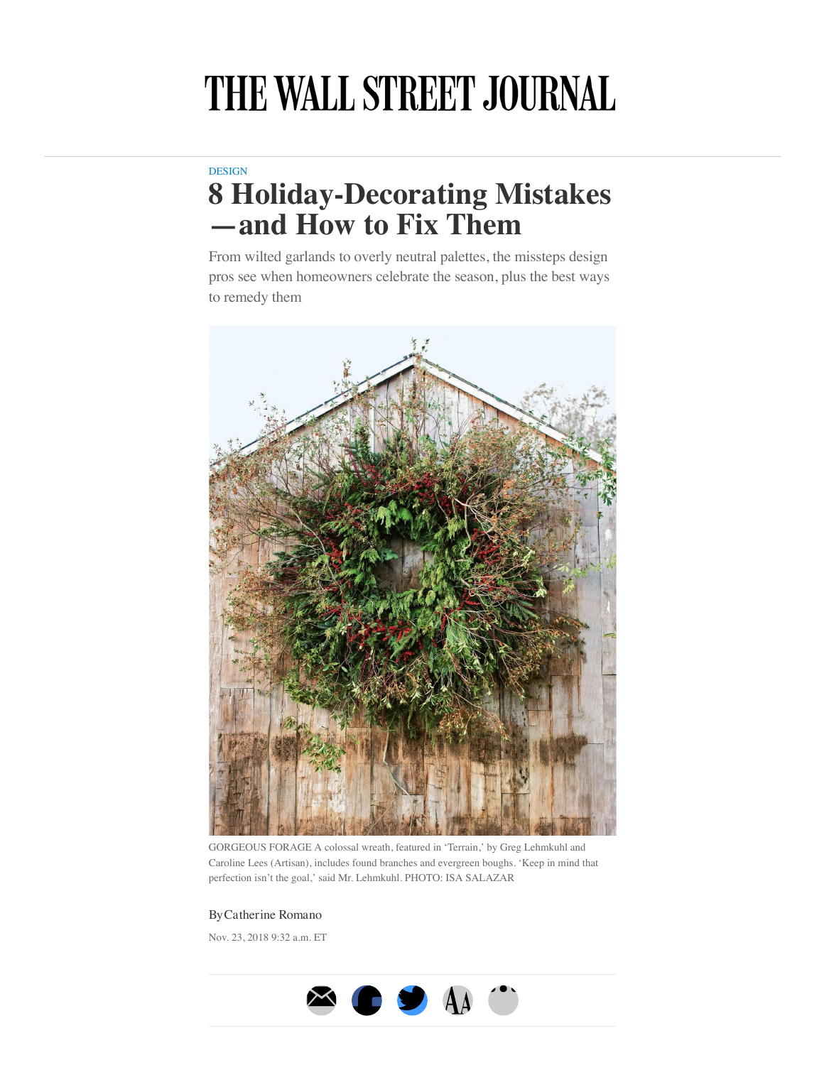## THE WALL STREET JOURNAL

## **[DESIGN](https://www.wsj.com/news/types/design)**

## **8 Holiday-Decorating Mistakes —and How to Fix Them**

From wilted garlands to overly neutral palettes, the missteps design pros see when homeowners celebrate the season, plus the best ways to remedy them



GORGEOUS FORAGE A colossal wreath, featured in 'Terrain,' by Greg Lehmkuhl and Caroline Lees (Artisan), includes found branches and evergreen boughs. 'Keep in mind that perfection isn't the goal,' said Mr. Lehmkuhl. PHOTO: ISA SALAZAR

## ByCatherine Romano

Nov. 23, 2018 9:32 a.m. ET

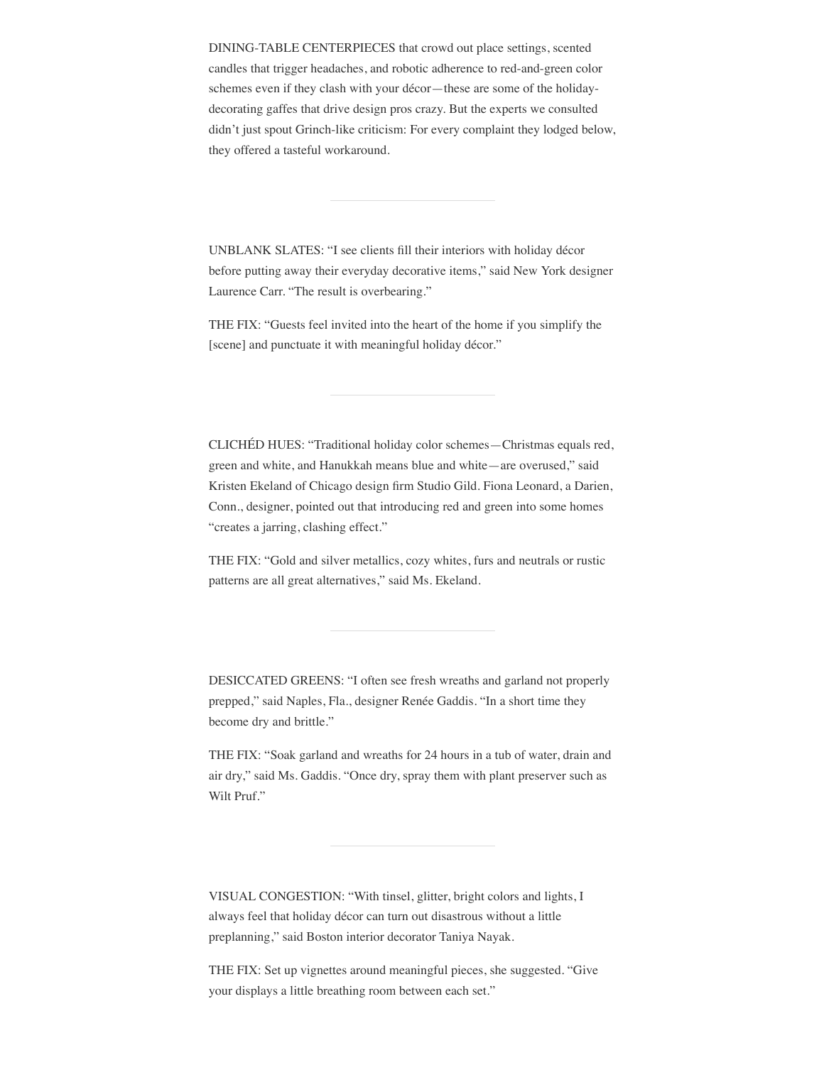DINING-TABLE CENTERPIECES that crowd out place settings, scented candles that trigger headaches, and robotic adherence to red-and-green color schemes even if they clash with your décor—these are some of the holidaydecorating gaffes that drive design pros crazy. But the experts we consulted didn't just spout Grinch-like criticism: For every complaint they lodged below, they offered a tasteful workaround.

UNBLANK SLATES: "I see clients fill their interiors with holiday décor before putting away their everyday decorative items," said New York designer Laurence Carr. "The result is overbearing."

THE FIX: "Guests feel invited into the heart of the home if you simplify the [scene] and punctuate it with meaningful holiday décor."

CLICHÉD HUES: "Traditional holiday color schemes—Christmas equals red, green and white, and Hanukkah means blue and white—are overused," said Kristen Ekeland of Chicago design firm Studio Gild. Fiona Leonard, a Darien, Conn., designer, pointed out that introducing red and green into some homes "creates a jarring, clashing effect."

THE FIX: "Gold and silver metallics, cozy whites, furs and neutrals or rustic patterns are all great alternatives," said Ms. Ekeland.

DESICCATED GREENS: "I often see fresh wreaths and garland not properly prepped," said Naples, Fla., designer Renée Gaddis. "In a short time they become dry and brittle."

THE FIX: "Soak garland and wreaths for 24 hours in a tub of water, drain and air dry," said Ms. Gaddis. "Once dry, spray them with plant preserver such as Wilt Pruf."

VISUAL CONGESTION: "With tinsel, glitter, bright colors and lights, I always feel that holiday décor can turn out disastrous without a little preplanning," said Boston interior decorator Taniya Nayak.

THE FIX: Set up vignettes around meaningful pieces, she suggested. "Give your displays a little breathing room between each set."